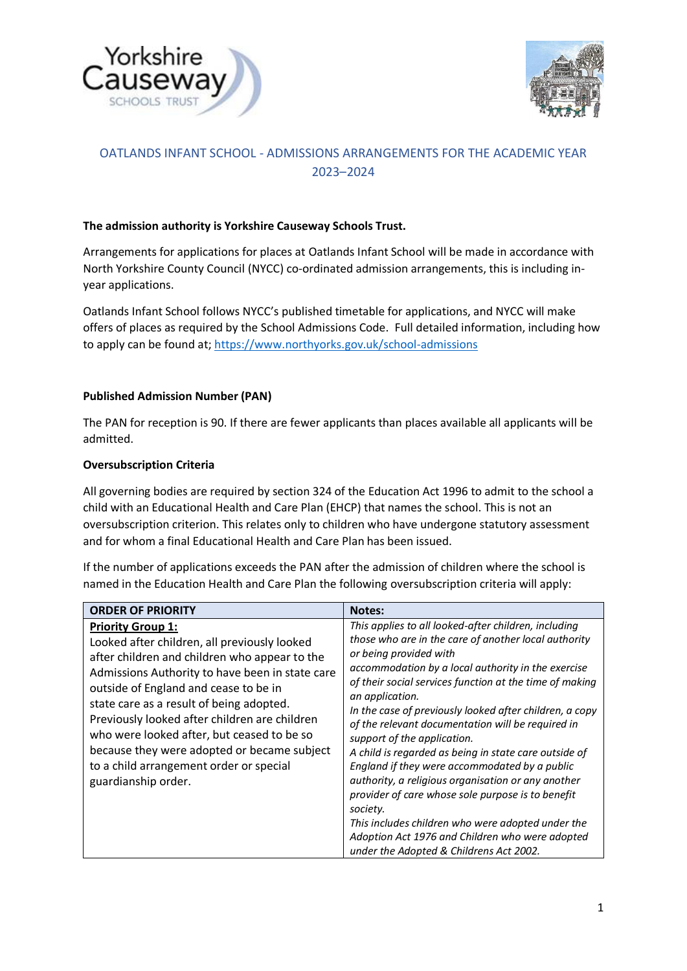



# OATLANDS INFANT SCHOOL - ADMISSIONS ARRANGEMENTS FOR THE ACADEMIC YEAR 2023–2024

# **The admission authority is Yorkshire Causeway Schools Trust.**

Arrangements for applications for places at Oatlands Infant School will be made in accordance with North Yorkshire County Council (NYCC) co-ordinated admission arrangements, this is including inyear applications.

Oatlands Infant School follows NYCC's published timetable for applications, and NYCC will make offers of places as required by the School Admissions Code. Full detailed information, including how to apply can be found at;<https://www.northyorks.gov.uk/school-admissions>

## **Published Admission Number (PAN)**

The PAN for reception is 90. If there are fewer applicants than places available all applicants will be admitted.

## **Oversubscription Criteria**

All governing bodies are required by section 324 of the Education Act 1996 to admit to the school a child with an Educational Health and Care Plan (EHCP) that names the school. This is not an oversubscription criterion. This relates only to children who have undergone statutory assessment and for whom a final Educational Health and Care Plan has been issued.

If the number of applications exceeds the PAN after the admission of children where the school is named in the Education Health and Care Plan the following oversubscription criteria will apply:

| <b>ORDER OF PRIORITY</b>                                                                                                                                                                                                                                                                                                                                                                                                                                                          | <b>Notes:</b>                                                                                                                                                                                                                                                                                                                                                                                                                                                                                                                                                                                                                                                                                                                                                                                                 |
|-----------------------------------------------------------------------------------------------------------------------------------------------------------------------------------------------------------------------------------------------------------------------------------------------------------------------------------------------------------------------------------------------------------------------------------------------------------------------------------|---------------------------------------------------------------------------------------------------------------------------------------------------------------------------------------------------------------------------------------------------------------------------------------------------------------------------------------------------------------------------------------------------------------------------------------------------------------------------------------------------------------------------------------------------------------------------------------------------------------------------------------------------------------------------------------------------------------------------------------------------------------------------------------------------------------|
| <b>Priority Group 1:</b><br>Looked after children, all previously looked<br>after children and children who appear to the<br>Admissions Authority to have been in state care<br>outside of England and cease to be in<br>state care as a result of being adopted.<br>Previously looked after children are children<br>who were looked after, but ceased to be so<br>because they were adopted or became subject<br>to a child arrangement order or special<br>guardianship order. | This applies to all looked-after children, including<br>those who are in the care of another local authority<br>or being provided with<br>accommodation by a local authority in the exercise<br>of their social services function at the time of making<br>an application.<br>In the case of previously looked after children, a copy<br>of the relevant documentation will be required in<br>support of the application.<br>A child is regarded as being in state care outside of<br>England if they were accommodated by a public<br>authority, a religious organisation or any another<br>provider of care whose sole purpose is to benefit<br>society.<br>This includes children who were adopted under the<br>Adoption Act 1976 and Children who were adopted<br>under the Adopted & Childrens Act 2002. |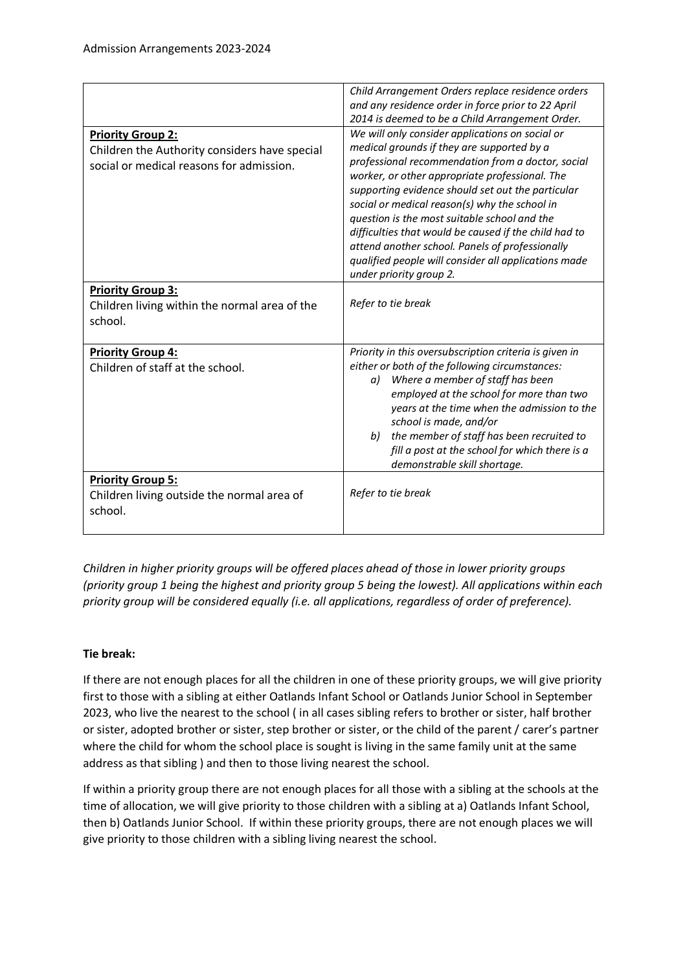| <b>Priority Group 2:</b><br>Children the Authority considers have special<br>social or medical reasons for admission. | Child Arrangement Orders replace residence orders<br>and any residence order in force prior to 22 April<br>2014 is deemed to be a Child Arrangement Order.<br>We will only consider applications on social or<br>medical grounds if they are supported by a<br>professional recommendation from a doctor, social<br>worker, or other appropriate professional. The<br>supporting evidence should set out the particular<br>social or medical reason(s) why the school in<br>question is the most suitable school and the<br>difficulties that would be caused if the child had to<br>attend another school. Panels of professionally |
|-----------------------------------------------------------------------------------------------------------------------|--------------------------------------------------------------------------------------------------------------------------------------------------------------------------------------------------------------------------------------------------------------------------------------------------------------------------------------------------------------------------------------------------------------------------------------------------------------------------------------------------------------------------------------------------------------------------------------------------------------------------------------|
|                                                                                                                       | qualified people will consider all applications made<br>under priority group 2.                                                                                                                                                                                                                                                                                                                                                                                                                                                                                                                                                      |
| <b>Priority Group 3:</b><br>Children living within the normal area of the<br>school.                                  | Refer to tie break                                                                                                                                                                                                                                                                                                                                                                                                                                                                                                                                                                                                                   |
| <b>Priority Group 4:</b><br>Children of staff at the school.                                                          | Priority in this oversubscription criteria is given in<br>either or both of the following circumstances:<br>Where a member of staff has been<br>a)<br>employed at the school for more than two<br>years at the time when the admission to the<br>school is made, and/or<br>the member of staff has been recruited to<br>b)<br>fill a post at the school for which there is a<br>demonstrable skill shortage.                                                                                                                                                                                                                         |
| <b>Priority Group 5:</b><br>Children living outside the normal area of<br>school.                                     | Refer to tie break                                                                                                                                                                                                                                                                                                                                                                                                                                                                                                                                                                                                                   |

*Children in higher priority groups will be offered places ahead of those in lower priority groups (priority group 1 being the highest and priority group 5 being the lowest). All applications within each priority group will be considered equally (i.e. all applications, regardless of order of preference).*

# **Tie break:**

If there are not enough places for all the children in one of these priority groups, we will give priority first to those with a sibling at either Oatlands Infant School or Oatlands Junior School in September 2023, who live the nearest to the school ( in all cases sibling refers to brother or sister, half brother or sister, adopted brother or sister, step brother or sister, or the child of the parent / carer's partner where the child for whom the school place is sought is living in the same family unit at the same address as that sibling ) and then to those living nearest the school.

If within a priority group there are not enough places for all those with a sibling at the schools at the time of allocation, we will give priority to those children with a sibling at a) Oatlands Infant School, then b) Oatlands Junior School. If within these priority groups, there are not enough places we will give priority to those children with a sibling living nearest the school.